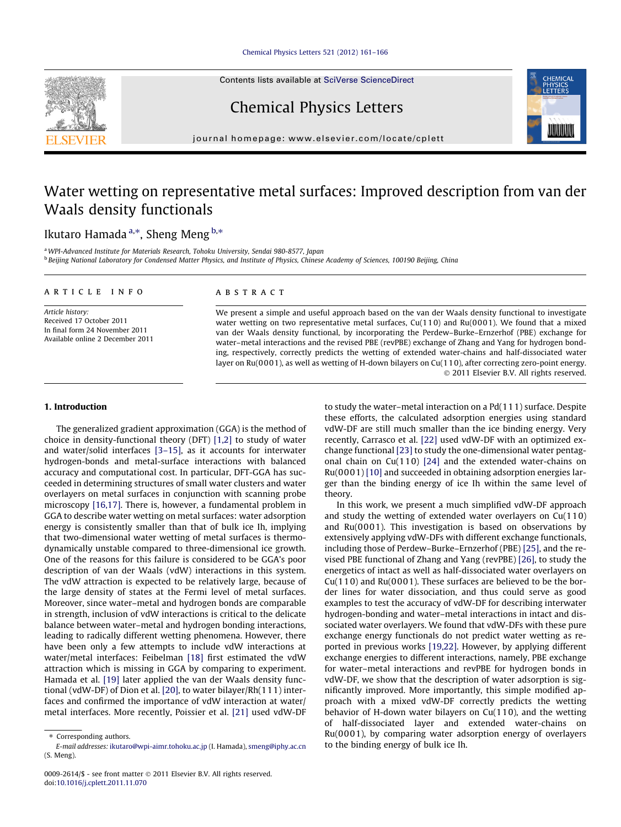## [Chemical Physics Letters 521 \(2012\) 161–166](http://dx.doi.org/10.1016/j.cplett.2011.11.070)

Contents lists available at [SciVerse ScienceDirect](http://www.sciencedirect.com/science/journal/00092614)

# Chemical Physics Letters

journal homepage: [www.elsevier.com/locate/cplett](http://www.elsevier.com/locate/cplett)

## Water wetting on representative metal surfaces: Improved description from van der Waals density functionals

## Ikutaro Hamada <sup>a,</sup>\*, Sheng Meng <sup>b,</sup>\*

<sup>a</sup>WPI-Advanced Institute for Materials Research, Tohoku University, Sendai 980-8577, Japan <sup>b</sup> Beijing National Laboratory for Condensed Matter Physics, and Institute of Physics, Chinese Academy of Sciences, 100190 Beijing, China

## article info

Article history: Received 17 October 2011 In final form 24 November 2011 Available online 2 December 2011

## ABSTRACT

We present a simple and useful approach based on the van der Waals density functional to investigate water wetting on two representative metal surfaces,  $Cu(110)$  and  $Ru(0001)$ . We found that a mixed van der Waals density functional, by incorporating the Perdew–Burke–Ernzerhof (PBE) exchange for water–metal interactions and the revised PBE (revPBE) exchange of Zhang and Yang for hydrogen bonding, respectively, correctly predicts the wetting of extended water-chains and half-dissociated water layer on Ru(0001), as well as wetting of H-down bilayers on Cu(110), after correcting zero-point energy. - 2011 Elsevier B.V. All rights reserved.

## 1. Introduction

The generalized gradient approximation (GGA) is the method of choice in density-functional theory (DFT) [\[1,2\]](#page-5-0) to study of water and water/solid interfaces [\[3–15\],](#page-5-0) as it accounts for interwater hydrogen-bonds and metal-surface interactions with balanced accuracy and computational cost. In particular, DFT-GGA has succeeded in determining structures of small water clusters and water overlayers on metal surfaces in conjunction with scanning probe microscopy [\[16,17\].](#page-5-0) There is, however, a fundamental problem in GGA to describe water wetting on metal surfaces: water adsorption energy is consistently smaller than that of bulk ice Ih, implying that two-dimensional water wetting of metal surfaces is thermodynamically unstable compared to three-dimensional ice growth. One of the reasons for this failure is considered to be GGA's poor description of van der Waals (vdW) interactions in this system. The vdW attraction is expected to be relatively large, because of the large density of states at the Fermi level of metal surfaces. Moreover, since water–metal and hydrogen bonds are comparable in strength, inclusion of vdW interactions is critical to the delicate balance between water–metal and hydrogen bonding interactions, leading to radically different wetting phenomena. However, there have been only a few attempts to include vdW interactions at water/metal interfaces: Feibelman [\[18\]](#page-5-0) first estimated the vdW attraction which is missing in GGA by comparing to experiment. Hamada et al. [\[19\]](#page-5-0) later applied the van der Waals density functional (vdW-DF) of Dion et al. [\[20\]](#page-5-0), to water bilayer/Rh(111) interfaces and confirmed the importance of vdW interaction at water/ metal interfaces. More recently, Poissier et al. [\[21\]](#page-5-0) used vdW-DF

to study the water–metal interaction on a Pd(111) surface. Despite these efforts, the calculated adsorption energies using standard vdW-DF are still much smaller than the ice binding energy. Very recently, Carrasco et al. [\[22\]](#page-5-0) used vdW-DF with an optimized exchange functional [\[23\]](#page-5-0) to study the one-dimensional water pentagonal chain on  $Cu(110)$  [\[24\]](#page-5-0) and the extended water-chains on Ru(000 1) [\[10\]](#page-5-0) and succeeded in obtaining adsorption energies larger than the binding energy of ice Ih within the same level of theory.

In this work, we present a much simplified vdW-DF approach and study the wetting of extended water overlayers on Cu(110) and Ru(0001). This investigation is based on observations by extensively applying vdW-DFs with different exchange functionals, including those of Perdew–Burke–Ernzerhof (PBE) [\[25\]](#page-5-0), and the revised PBE functional of Zhang and Yang (revPBE) [\[26\],](#page-5-0) to study the energetics of intact as well as half-dissociated water overlayers on Cu(11 0) and Ru(0001). These surfaces are believed to be the border lines for water dissociation, and thus could serve as good examples to test the accuracy of vdW-DF for describing interwater hydrogen-bonding and water–metal interactions in intact and dissociated water overlayers. We found that vdW-DFs with these pure exchange energy functionals do not predict water wetting as reported in previous works [\[19,22\]](#page-5-0). However, by applying different exchange energies to different interactions, namely, PBE exchange for water–metal interactions and revPBE for hydrogen bonds in vdW-DF, we show that the description of water adsorption is significantly improved. More importantly, this simple modified approach with a mixed vdW-DF correctly predicts the wetting behavior of H-down water bilayers on Cu(11 0), and the wetting of half-dissociated layer and extended water-chains on Ru(000 1), by comparing water adsorption energy of overlayers to the binding energy of bulk ice Ih.





<sup>⇑</sup> Corresponding authors.

E-mail addresses: [ikutaro@wpi-aimr.tohoku.ac.jp](mailto:ikutaro@wpi-aimr.tohoku.ac.jp) (I. Hamada), [smeng@iphy.ac.cn](mailto:smeng@iphy.ac.cn) (S. Meng).

<sup>0009-2614/\$ -</sup> see front matter © 2011 Elsevier B.V. All rights reserved. doi[:10.1016/j.cplett.2011.11.070](http://dx.doi.org/10.1016/j.cplett.2011.11.070)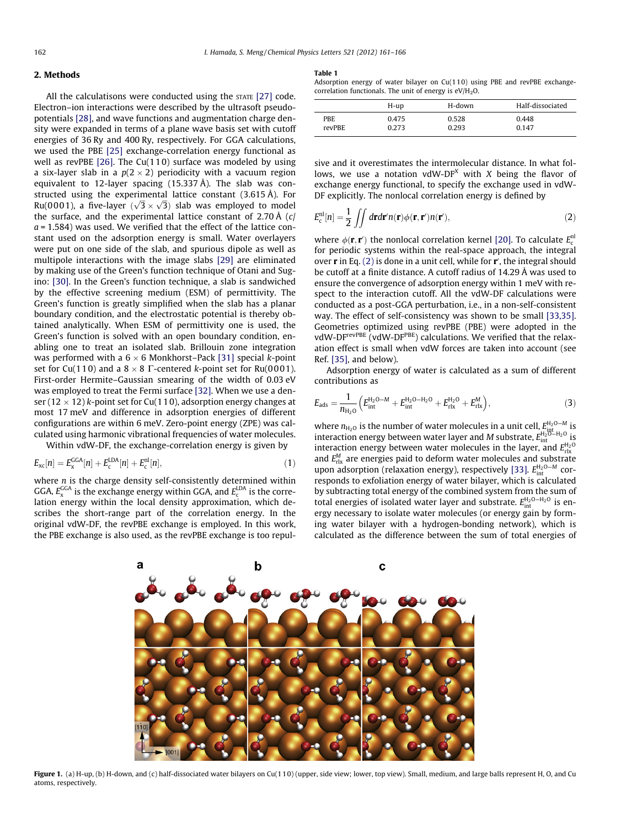## <span id="page-1-0"></span>2. Methods

All the calculatisons were conducted using the STATE [\[27\]](#page-5-0) code. Electron–ion interactions were described by the ultrasoft pseudopotentials [\[28\],](#page-5-0) and wave functions and augmentation charge density were expanded in terms of a plane wave basis set with cutoff energies of 36 Ry and 400 Ry, respectively. For GGA calculations, we used the PBE [\[25\]](#page-5-0) exchange-correlation energy functional as well as revPBE [\[26\]](#page-5-0). The Cu(11 0) surface was modeled by using a six-layer slab in a  $p(2\times2)$  periodicity with a vacuum region equivalent to 12-layer spacing (15.337 Å). The slab was constructed using the experimental lattice constant (3.615 Å). For structed using the experimental lattice constant (5.015 A). For<br>Ru(0001), a five-layer  $(\sqrt{3} \times \sqrt{3})$  slab was employed to model the surface, and the experimental lattice constant of 2.70 Å (c/  $a = 1.584$ ) was used. We verified that the effect of the lattice constant used on the adsorption energy is small. Water overlayers were put on one side of the slab, and spurious dipole as well as multipole interactions with the image slabs [\[29\]](#page-5-0) are eliminated by making use of the Green's function technique of Otani and Sugino: [\[30\].](#page-5-0) In the Green's function technique, a slab is sandwiched by the effective screening medium (ESM) of permittivity. The Green's function is greatly simplified when the slab has a planar boundary condition, and the electrostatic potential is thereby obtained analytically. When ESM of permittivity one is used, the Green's function is solved with an open boundary condition, enabling one to treat an isolated slab. Brillouin zone integration was performed with a 6  $\times$  6 Monkhorst–Pack [\[31\]](#page-5-0) special  $k$ -point set for Cu(110) and a 8  $\times$  8  $\Gamma$ -centered *k*-point set for Ru(0001). First-order Hermite–Gaussian smearing of the width of 0.03 eV was employed to treat the Fermi surface [\[32\].](#page-5-0) When we use a denser (12  $\times$  12) k-point set for Cu(110), adsorption energy changes at most 17 meV and difference in adsorption energies of different configurations are within 6 meV. Zero-point energy (ZPE) was calculated using harmonic vibrational frequencies of water molecules.

Within vdW-DF, the exchange-correlation energy is given by

$$
E_{\rm xc}[n] = E_{\rm x}^{\rm GGA}[n] + E_{\rm c}^{\rm LDA}[n] + E_{\rm c}^{\rm nl}[n],\tag{1}
$$

where  $n$  is the charge density self-consistently determined within GGA,  $E_{\rm x}^{\rm GGA}$  is the exchange energy within GGA, and  $E_{\rm c}^{\rm LDA}$  is the correlation energy within the local density approximation, which describes the short-range part of the correlation energy. In the original vdW-DF, the revPBE exchange is employed. In this work, the PBE exchange is also used, as the revPBE exchange is too repul-

#### Table 1

Adsorption energy of water bilayer on Cu(110) using PBE and revPBE exchangecorrelation functionals. The unit of energy is  $eV/H_2O$ .

|               | H-up  | H-down | Half-dissociated |
|---------------|-------|--------|------------------|
| PBE           | 0.475 | 0.528  | 0.448            |
| <b>revPBE</b> | 0.273 | 0.293  | 0147             |

sive and it overestimates the intermolecular distance. In what follows, we use a notation vdW-DF<sup>X</sup> with X being the flavor of exchange energy functional, to specify the exchange used in vdW-DF explicitly. The nonlocal correlation energy is defined by

$$
E_c^{\text{nl}}[n] = \frac{1}{2} \iint d\mathbf{r} d\mathbf{r}' n(\mathbf{r}) \phi(\mathbf{r}, \mathbf{r}') n(\mathbf{r}'), \tag{2}
$$

where  $\phi(\mathbf{r}, \mathbf{r}')$  the nonlocal correlation kernel [\[20\]](#page-5-0). To calculate  $E_c^{\text{n}}$ for periodic systems within the real-space approach, the integral over **r** in Eq. (2) is done in a unit cell, while for **r**', the integral should be cutoff at a finite distance. A cutoff radius of 14.29 Å was used to ensure the convergence of adsorption energy within 1 meV with respect to the interaction cutoff. All the vdW-DF calculations were conducted as a post-GGA perturbation, i.e., in a non-self-consistent way. The effect of self-consistency was shown to be small [\[33,35\].](#page-5-0) Geometries optimized using revPBE (PBE) were adopted in the vdW-DF<sup>revPBE</sup> (vdW-DF<sup>PBE</sup>) calculations. We verified that the relaxation effect is small when vdW forces are taken into account (see Ref. [\[35\]](#page-5-0), and below).

Adsorption energy of water is calculated as a sum of different contributions as

$$
E_{ads} = \frac{1}{n_{H_2O}} \left( E_{int}^{H_2O-M} + E_{int}^{H_2O-H_2O} + E_{rlx}^{H_2O} + E_{rlx}^{M} \right),
$$
 (3)

where  $n_{\text{H}_2\text{O}}$  is the number of water molecules in a unit cell,  $E_{\text{int}}^{\text{H}_2\text{O}-M}$  is interaction energy between water layer and M substrate,  $E_{int}^{\rm H_2O-H_2O}$  is interaction energy between water molecules in the layer, and  $E_{\text{rlx}}^{\text{H}_2\text{O}}$ and  $E_{\text{rlx}}^{M}$  are energies paid to deform water molecules and substrate upon adsorption (relaxation energy), respectively [\[33\].](#page-5-0)  $E_{int}^{H_2O-M}$  corresponds to exfoliation energy of water bilayer, which is calculated by subtracting total energy of the combined system from the sum of total energies of isolated water layer and substrate.  $E_{int}^{H_2O-H_2O}$  is energy necessary to isolate water molecules (or energy gain by forming water bilayer with a hydrogen-bonding network), which is calculated as the difference between the sum of total energies of



Figure 1. (a) H-up, (b) H-down, and (c) half-dissociated water bilayers on Cu(110) (upper, side view; lower, top view). Small, medium, and large balls represent H, O, and Cu atoms, respectively.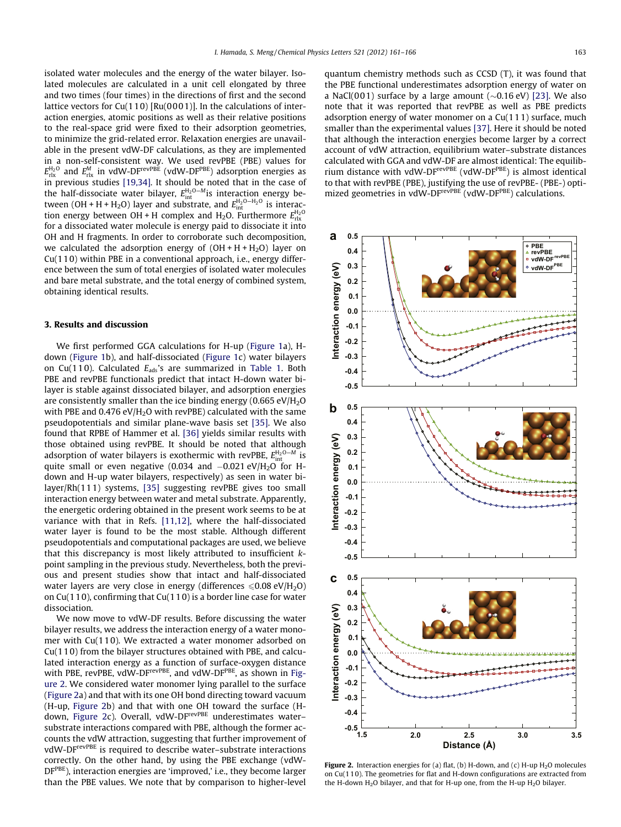<span id="page-2-0"></span>isolated water molecules and the energy of the water bilayer. Isolated molecules are calculated in a unit cell elongated by three and two times (four times) in the directions of first and the second lattice vectors for  $Cu(110)$  [Ru(0001)]. In the calculations of interaction energies, atomic positions as well as their relative positions to the real-space grid were fixed to their adsorption geometries, to minimize the grid-related error. Relaxation energies are unavailable in the present vdW-DF calculations, as they are implemented in a non-self-consistent way. We used revPBE (PBE) values for  $E^{H_2O}_{rlx}$  and  $E^{M}_{rlx}$  in vdW-DF $^{revPBE}$  (vdW-DF $^{PBE}$ ) adsorption energies as in previous studies [\[19,34\]](#page-5-0). It should be noted that in the case of the half-dissociate water bilayer,  $E_{int}^{H_2O-M}$  is interaction energy between (OH + H + H<sub>2</sub>O) layer and substrate, and  $E_{\text{int}}^{\text{H}_{2}\text{O}-\text{H}_{2}\text{O}}$  is interaction energy between OH + H complex and H<sub>2</sub>O. Furthermore  $E_{\text{rlx}}^{\text{H}_2\text{O}}$ for a dissociated water molecule is energy paid to dissociate it into OH and H fragments. In order to corroborate such decomposition, we calculated the adsorption energy of  $(OH + H + H<sub>2</sub>O)$  layer on Cu(11 0) within PBE in a conventional approach, i.e., energy difference between the sum of total energies of isolated water molecules and bare metal substrate, and the total energy of combined system, obtaining identical results.

## 3. Results and discussion

We first performed GGA calculations for H-up ([Figure 1a](#page-1-0)), Hdown [\(Figure 1b](#page-1-0)), and half-dissociated [\(Figure 1c](#page-1-0)) water bilayers on Cu(110). Calculated  $E_{ads}$ 's are summarized in [Table 1.](#page-1-0) Both PBE and revPBE functionals predict that intact H-down water bilayer is stable against dissociated bilayer, and adsorption energies are consistently smaller than the ice binding energy  $(0.665 \text{ eV/H}_{2}O)$ with PBE and  $0.476$  eV/H<sub>2</sub>O with revPBE) calculated with the same pseudopotentials and similar plane-wave basis set [\[35\]](#page-5-0). We also found that RPBE of Hammer et al. [\[36\]](#page-5-0) yields similar results with those obtained using revPBE. It should be noted that although adsorption of water bilayers is exothermic with revPBE,  $E_{\rm int}^{\rm H_2O-M}$  is quite small or even negative (0.034 and  $-0.021 \text{ eV/H}_{2}$ O for Hdown and H-up water bilayers, respectively) as seen in water bilayer/Rh(111) systems, [\[35\]](#page-5-0) suggesting revPBE gives too small interaction energy between water and metal substrate. Apparently, the energetic ordering obtained in the present work seems to be at variance with that in Refs. [\[11,12\]](#page-5-0), where the half-dissociated water layer is found to be the most stable. Although different pseudopotentials and computational packages are used, we believe that this discrepancy is most likely attributed to insufficient kpoint sampling in the previous study. Nevertheless, both the previous and present studies show that intact and half-dissociated water layers are very close in energy (differences  $\leq 0.08 \text{ eV/H}_2\text{O}$ ) on Cu(110), confirming that Cu(11 0) is a border line case for water dissociation.

We now move to vdW-DF results. Before discussing the water bilayer results, we address the interaction energy of a water monomer with Cu(11 0). We extracted a water monomer adsorbed on Cu(11 0) from the bilayer structures obtained with PBE, and calculated interaction energy as a function of surface-oxygen distance with PBE, revPBE, vdW-DF<sup>revPBE</sup>, and vdW-DF<sup>PBE</sup>, as shown in Figure 2. We considered water monomer lying parallel to the surface (Figure 2a) and that with its one OH bond directing toward vacuum (H-up, Figure 2b) and that with one OH toward the surface (Hdown, Figure 2c). Overall, vdW-DF<sup>revPBE</sup> underestimates watersubstrate interactions compared with PBE, although the former accounts the vdW attraction, suggesting that further improvement of vdW-DFrevPBE is required to describe water–substrate interactions correctly. On the other hand, by using the PBE exchange (vdW-DF<sup>PBE</sup>), interaction energies are 'improved,' i.e., they become larger than the PBE values. We note that by comparison to higher-level quantum chemistry methods such as CCSD (T), it was found that the PBE functional underestimates adsorption energy of water on a NaCl(001) surface by a large amount  $(\sim 0.16 \text{ eV})$  [\[23\]](#page-5-0). We also note that it was reported that revPBE as well as PBE predicts adsorption energy of water monomer on a Cu(111) surface, much smaller than the experimental values [\[37\].](#page-5-0) Here it should be noted that although the interaction energies become larger by a correct account of vdW attraction, equilibrium water–substrate distances calculated with GGA and vdW-DF are almost identical: The equilibrium distance with vdW-DFrevPBE (vdW-DFPBE) is almost identical to that with revPBE (PBE), justifying the use of revPBE- (PBE-) optimized geometries in vdW-DF<sup>revPBE</sup> (vdW-DF<sup>PBE</sup>) calculations.



Figure 2. Interaction energies for (a) flat, (b) H-down, and (c) H-up  $H_2O$  molecules on Cu(11 0). The geometries for flat and H-down configurations are extracted from the H-down  $H_2O$  bilayer, and that for H-up one, from the H-up  $H_2O$  bilayer.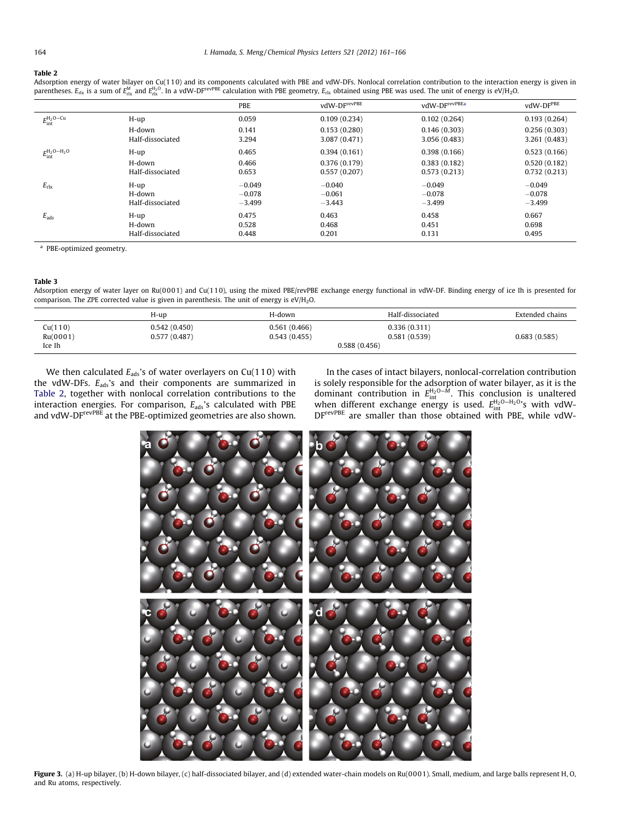#### <span id="page-3-0"></span>Table 2

Adsorption energy of water bilayer on Cu(110) and its components calculated with PBE and vdW-DFs. Nonlocal correlation contribution to the interaction energy is given in<br>parentheses. E<sub>rix</sub> is a sum of E<sub>nk</sub> and E<sub>rix</sub> . I

|                               |                  | PBE      | vdW-DF <sup>revPBE</sup> | vdW-DF <sup>revPBEa</sup> | vdW-DF <sup>PBE</sup> |
|-------------------------------|------------------|----------|--------------------------|---------------------------|-----------------------|
| $E_{\rm int}^{\rm H_2O-Cu}$   | $H$ -up          | 0.059    | 0.109(0.234)             | 0.102(0.264)              | 0.193(0.264)          |
|                               | H-down           | 0.141    | 0.153(0.280)             | 0.146(0.303)              | 0.256(0.303)          |
|                               | Half-dissociated | 3.294    | 3.087 (0.471)            | 3.056(0.483)              | 3.261 (0.483)         |
| $E^{\rm H_2O-H_2O}_{\rm int}$ | $H$ -up          | 0.465    | 0.394(0.161)             | 0.398(0.166)              | 0.523(0.166)          |
|                               | H-down           | 0.466    | 0.376(0.179)             | 0.383(0.182)              | 0.520(0.182)          |
|                               | Half-dissociated | 0.653    | 0.557(0.207)             | 0.573(0.213)              | 0.732(0.213)          |
| $E_{\text{rlx}}$              | $H$ -up          | $-0.049$ | $-0.040$                 | $-0.049$                  | $-0.049$              |
|                               | H-down           | $-0.078$ | $-0.061$                 | $-0.078$                  | $-0.078$              |
|                               | Half-dissociated | $-3.499$ | $-3.443$                 | $-3.499$                  | $-3.499$              |
| $E_{\rm ads}$                 | H-up             | 0.475    | 0.463                    | 0.458                     | 0.667                 |
|                               | H-down           | 0.528    | 0.468                    | 0.451                     | 0.698                 |
|                               | Half-dissociated | 0.448    | 0.201                    | 0.131                     | 0.495                 |

<sup>a</sup> PBE-optimized geometry.

## Table 3

Adsorption energy of water layer on Ru(0001) and Cu(110), using the mixed PBE/revPBE exchange energy functional in vdW-DF. Binding energy of ice Ih is presented for comparison. The ZPE corrected value is given in parenthesis. The unit of energy is  $eV/H_2O$ .

|                               | H-up                         | H-down                       | Half-dissociated                             | Extended chains |
|-------------------------------|------------------------------|------------------------------|----------------------------------------------|-----------------|
| Cu(110)<br>Ru(0001)<br>Ice Ih | 0.542(0.450)<br>0.577(0.487) | 0.561(0.466)<br>0.543(0.455) | 0.336(0.311)<br>0.581(0.539)<br>0.588(0.456) | 0.683(0.585)    |

We then calculated  $E_{ads}$ 's of water overlayers on Cu(110) with the vdW-DFs.  $E_{ads}$ 's and their components are summarized in Table 2, together with nonlocal correlation contributions to the interaction energies. For comparison,  $E_{ads}$ 's calculated with PBE and vdW-DFrevPBE at the PBE-optimized geometries are also shown.

In the cases of intact bilayers, nonlocal-correlation contribution is solely responsible for the adsorption of water bilayer, as it is the dominant contribution in  $E_{int}^{H_2O-M}$ . This conclusion is unaltered when different exchange energy is used.  $E_{int}^{H_2O-H_2O}$ 's with vdW-DFrevPBE are smaller than those obtained with PBE, while vdW-



Figure 3. (a) H-up bilayer, (b) H-down bilayer, (c) half-dissociated bilayer, and (d) extended water-chain models on Ru(0001). Small, medium, and large balls represent H, O, and Ru atoms, respectively.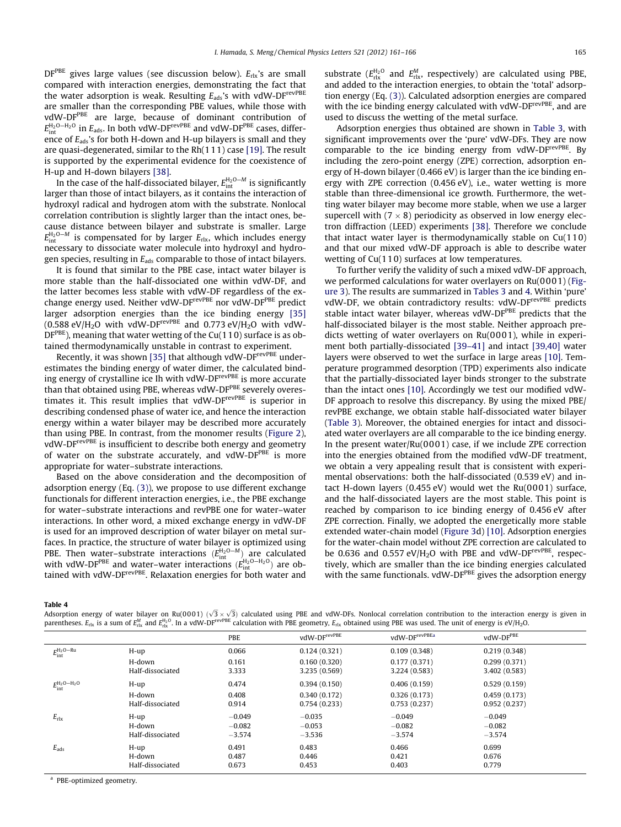$DF^{PBE}$  gives large values (see discussion below).  $E_{rlx}$ 's are small compared with interaction energies, demonstrating the fact that the water adsorption is weak. Resulting  $E_{ads}$ 's with vdW-DF<sup>revPBE</sup> are smaller than the corresponding PBE values, while those with vdW-DFPBE are large, because of dominant contribution of  $E_{\rm int}^{\rm H_2O-H_2O}$  in  $E_{\rm ads}$ . In both vdW-DF $^{\rm revPBE}$  and vdW-DF $^{\rm PBE}$  cases, difference of  $E_{\text{ads}}$ 's for both H-down and H-up bilayers is small and they are quasi-degenerated, similar to the Rh(111) case [\[19\].](#page-5-0) The result is supported by the experimental evidence for the coexistence of H-up and H-down bilayers [\[38\]](#page-5-0).

In the case of the half-dissociated bilayer,  $E_{\rm int}^{\rm H_2O-M}$  is significantly larger than those of intact bilayers, as it contains the interaction of hydroxyl radical and hydrogen atom with the substrate. Nonlocal correlation contribution is slightly larger than the intact ones, because distance between bilayer and substrate is smaller. Large  $E_{\text{int}}^{\text{H}_{2}\text{O}-\text{M}}$  is compensated for by larger  $E_{\text{rlx}}$ , which includes energy necessary to dissociate water molecule into hydroxyl and hydrogen species, resulting in  $E_{\text{ads}}$  comparable to those of intact bilayers.

It is found that similar to the PBE case, intact water bilayer is more stable than the half-dissociated one within vdW-DF, and the latter becomes less stable with vdW-DF regardless of the exchange energy used. Neither vdW-DF<sup>revPBE</sup> nor vdW-DF<sup>PBE</sup> predict larger adsorption energies than the ice binding energy [\[35\]](#page-5-0)  $(0.588 \text{ eV/H}_2\text{O}$  with vdW-DF<sup>revPBE</sup> and  $0.773 \text{ eV/H}_2\text{O}$  with vdW- $DF^{PBE}$ ), meaning that water wetting of the Cu(110) surface is as obtained thermodynamically unstable in contrast to experiment.

Recently, it was shown [\[35\]](#page-5-0) that although vdW-DF<sup>revPBE</sup> underestimates the binding energy of water dimer, the calculated binding energy of crystalline ice Ih with vdW-DFrevPBE is more accurate than that obtained using PBE, whereas vdW-DF<sup>PBE</sup> severely overestimates it. This result implies that vdW-DFrevPBE is superior in describing condensed phase of water ice, and hence the interaction energy within a water bilayer may be described more accurately than using PBE. In contrast, from the monomer results ([Figure 2\)](#page-2-0), vdW-DF<sup>revPBE</sup> is insufficient to describe both energy and geometry of water on the substrate accurately, and vdW-D $F$ <sup>PBE</sup> is more appropriate for water–substrate interactions.

Based on the above consideration and the decomposition of adsorption energy (Eq. [\(3\)](#page-1-0)), we propose to use different exchange functionals for different interaction energies, i.e., the PBE exchange for water–substrate interactions and revPBE one for water–water interactions. In other word, a mixed exchange energy in vdW-DF is used for an improved description of water bilayer on metal surfaces. In practice, the structure of water bilayer is optimized using PBE. Then water–substrate interactions  $(E_{int}^{H_2O-M})$  are calculated with vdW-DF<sup>PBE</sup> and water–water interactions ( $E_{int}^{H_2O-H_2O}$ ) are obtained with vdW-DFrevPBE. Relaxation energies for both water and

substrate ( $E_{\text{rlx}}^{\text{H}_2\text{O}}$  and  $E_{\text{rlx}}^M$ , respectively) are calculated using PBE, and added to the interaction energies, to obtain the 'total' adsorption energy (Eq. [\(3\)\)](#page-1-0). Calculated adsorption energies are compared with the ice binding energy calculated with vdW-DF<sup>revPBE</sup>, and are used to discuss the wetting of the metal surface.

Adsorption energies thus obtained are shown in [Table 3](#page-3-0), with significant improvements over the 'pure' vdW-DFs. They are now comparable to the ice binding energy from vdW-DF<sup>revPBE</sup>. By including the zero-point energy (ZPE) correction, adsorption energy of H-down bilayer (0.466 eV) is larger than the ice binding energy with ZPE correction (0.456 eV), i.e., water wetting is more stable than three-dimensional ice growth. Furthermore, the wetting water bilayer may become more stable, when we use a larger supercell with (7  $\times$  8) periodicity as observed in low energy electron diffraction (LEED) experiments [\[38\].](#page-5-0) Therefore we conclude that intact water layer is thermodynamically stable on Cu(11 0) and that our mixed vdW-DF approach is able to describe water wetting of Cu(110) surfaces at low temperatures.

To further verify the validity of such a mixed vdW-DF approach, we performed calculations for water overlayers on Ru(0001) [\(Fig](#page-3-0)[ure 3\)](#page-3-0). The results are summarized in [Tables 3](#page-3-0) and 4. Within 'pure' vdW-DF, we obtain contradictory results: vdW-DF<sup>revPBE</sup> predicts stable intact water bilayer, whereas vdW-DF<sup>PBE</sup> predicts that the half-dissociated bilayer is the most stable. Neither approach predicts wetting of water overlayers on Ru(000 1), while in experiment both partially-dissociated [\[39–41\]](#page-5-0) and intact [\[39,40\]](#page-5-0) water layers were observed to wet the surface in large areas [\[10\]](#page-5-0). Temperature programmed desorption (TPD) experiments also indicate that the partially-dissociated layer binds stronger to the substrate than the intact ones [\[10\]](#page-5-0). Accordingly we test our modified vdW-DF approach to resolve this discrepancy. By using the mixed PBE/ revPBE exchange, we obtain stable half-dissociated water bilayer ([Table 3\)](#page-3-0). Moreover, the obtained energies for intact and dissociated water overlayers are all comparable to the ice binding energy. In the present water/Ru(0001) case, if we include ZPE correction into the energies obtained from the modified vdW-DF treatment, we obtain a very appealing result that is consistent with experimental observations: both the half-dissociated (0.539 eV) and intact H-down layers (0.455 eV) would wet the Ru(0001) surface, and the half-dissociated layers are the most stable. This point is reached by comparison to ice binding energy of 0.456 eV after ZPE correction. Finally, we adopted the energetically more stable extended water-chain model [\(Figure 3d](#page-3-0)) [\[10\].](#page-5-0) Adsorption energies for the water-chain model without ZPE correction are calculated to be 0.636 and 0.557 eV/H<sub>2</sub>O with PBE and vdW-DF<sup>revPBE</sup>, respectively, which are smaller than the ice binding energies calculated with the same functionals. vdW-DFPBE gives the adsorption energy

Table 4

Adsorption energy of water bilayer on Ru(0001)  $(\sqrt{3} \times \sqrt{3})$  calculated using PBE and vdW-DFs. Nonlocal correlation contribution to the interaction energy is given in parentheses.  $E_{\rm rlx}$  is a sum of  $E_{\rm rlx}^{\rm Maq}$  and  $E_{\rm rlx}^{\rm H_2O}$ . In a vdW-DF<sup>revPBE</sup> calculation with PBE geometry,  $E_{\rm rlx}$  obtained using PBE was used. The unit of energy is eV/H<sub>2</sub>O.

|                               |                  | PBE      | vdW-DF <sup>revPBE</sup> | vdW-DF <sup>revPBEa</sup> | vdW-DFPBE     |  |
|-------------------------------|------------------|----------|--------------------------|---------------------------|---------------|--|
| $E_{\rm int}^{\rm H_2O-Ru}$   | H-up             | 0.066    | 0.124(0.321)             | 0.109(0.348)              | 0.219(0.348)  |  |
|                               | H-down           | 0.161    | 0.160(0.320)             | 0.177(0.371)              | 0.299(0.371)  |  |
|                               | Half-dissociated | 3.333    | 3.235 (0.569)            | 3.224 (0.583)             | 3.402 (0.583) |  |
| $E^{\rm H_2O-H_2O}_{\rm int}$ | H-up             | 0.474    | 0.394(0.150)             | 0.406(0.159)              | 0.529(0.159)  |  |
|                               | H-down           | 0.408    | 0.340(0.172)             | 0.326(0.173)              | 0.459(0.173)  |  |
|                               | Half-dissociated | 0.914    | 0.754(0.233)             | 0.753(0.237)              | 0.952(0.237)  |  |
| $E_{\text{rlx}}$              | H-up             | $-0.049$ | $-0.035$                 | $-0.049$                  | $-0.049$      |  |
|                               | H-down           | $-0.082$ | $-0.053$                 | $-0.082$                  | $-0.082$      |  |
|                               | Half-dissociated | $-3.574$ | $-3.536$                 | $-3.574$                  | $-3.574$      |  |
| $E_{\rm ads}$                 | H-up             | 0.491    | 0.483                    | 0.466                     | 0.699         |  |
|                               | H-down           | 0.487    | 0.446                    | 0.421                     | 0.676         |  |
|                               | Half-dissociated | 0.673    | 0.453                    | 0.403                     | 0.779         |  |

<sup>a</sup> PBE-optimized geometry.